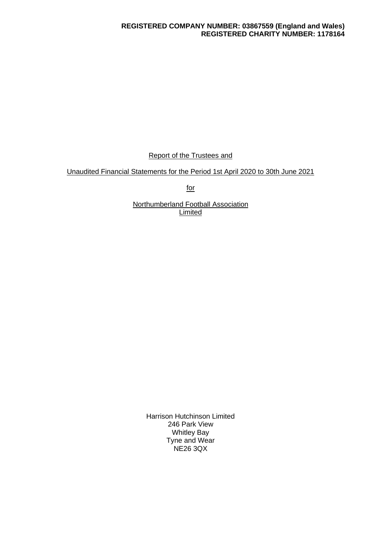## **REGISTERED COMPANY NUMBER: 03867559 (England and Wales) REGISTERED CHARITY NUMBER: 1178164**

Report of the Trustees and

Unaudited Financial Statements for the Period 1st April 2020 to 30th June 2021

for

Northumberland Football Association **Limited** 

> Harrison Hutchinson Limited 246 Park View Whitley Bay Tyne and Wear NE26 3QX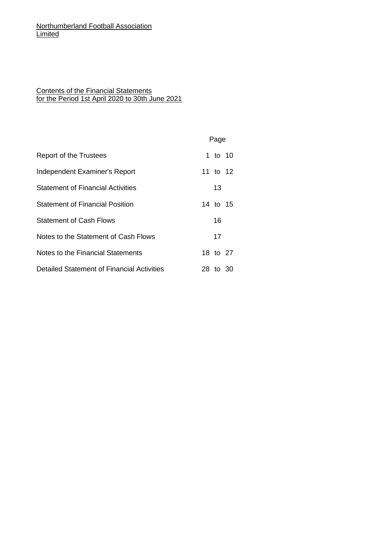## Contents of the Financial Statements for the Period 1st April 2020 to 30th June 2021

|                                            | Page     |  |
|--------------------------------------------|----------|--|
| Report of the Trustees                     | 1 to 10  |  |
| Independent Examiner's Report              | 11 to 12 |  |
| <b>Statement of Financial Activities</b>   | 13       |  |
| <b>Statement of Financial Position</b>     | 14 to 15 |  |
| <b>Statement of Cash Flows</b>             | 16       |  |
| Notes to the Statement of Cash Flows       | 17       |  |
| Notes to the Financial Statements          | 18 to 27 |  |
| Detailed Statement of Financial Activities | 28 to 30 |  |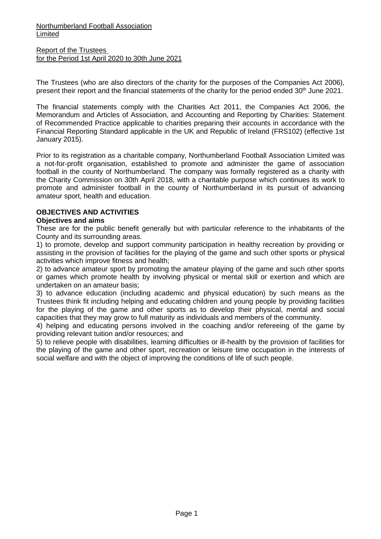Report of the Trustees for the Period 1st April 2020 to 30th June 2021

The Trustees (who are also directors of the charity for the purposes of the Companies Act 2006), present their report and the financial statements of the charity for the period ended 30<sup>th</sup> June 2021.

The financial statements comply with the Charities Act 2011, the Companies Act 2006, the Memorandum and Articles of Association, and Accounting and Reporting by Charities: Statement of Recommended Practice applicable to charities preparing their accounts in accordance with the Financial Reporting Standard applicable in the UK and Republic of Ireland (FRS102) (effective 1st January 2015).

Prior to its registration as a charitable company, Northumberland Football Association Limited was a not-for-profit organisation, established to promote and administer the game of association football in the county of Northumberland. The company was formally registered as a charity with the Charity Commission on 30th April 2018, with a charitable purpose which continues its work to promote and administer football in the county of Northumberland in its pursuit of advancing amateur sport, health and education.

## **OBJECTIVES AND ACTIVITIES**

### **Objectives and aims**

These are for the public benefit generally but with particular reference to the inhabitants of the County and its surrounding areas.

1) to promote, develop and support community participation in healthy recreation by providing or assisting in the provision of facilities for the playing of the game and such other sports or physical activities which improve fitness and health;

2) to advance amateur sport by promoting the amateur playing of the game and such other sports or games which promote health by involving physical or mental skill or exertion and which are undertaken on an amateur basis;

3) to advance education (including academic and physical education) by such means as the Trustees think fit including helping and educating children and young people by providing facilities for the playing of the game and other sports as to develop their physical, mental and social capacities that they may grow to full maturity as individuals and members of the community.

4) helping and educating persons involved in the coaching and/or refereeing of the game by providing relevant tuition and/or resources; and

5) to relieve people with disabilities, learning difficulties or ill-health by the provision of facilities for the playing of the game and other sport, recreation or leisure time occupation in the interests of social welfare and with the object of improving the conditions of life of such people.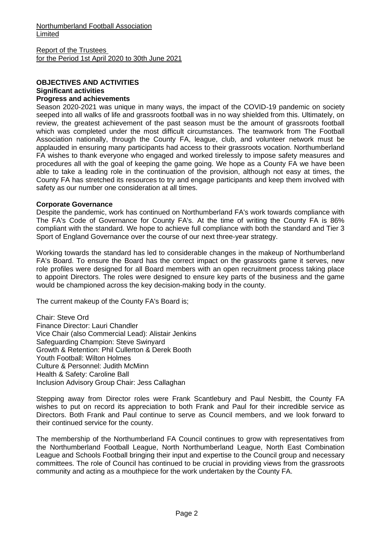# **OBJECTIVES AND ACTIVITIES Significant activities**

## **Progress and achievements**

Season 2020-2021 was unique in many ways, the impact of the COVID-19 pandemic on society seeped into all walks of life and grassroots football was in no way shielded from this. Ultimately, on review, the greatest achievement of the past season must be the amount of grassroots football which was completed under the most difficult circumstances. The teamwork from The Football Association nationally, through the County FA, league, club, and volunteer network must be applauded in ensuring many participants had access to their grassroots vocation. Northumberland FA wishes to thank everyone who engaged and worked tirelessly to impose safety measures and procedures all with the goal of keeping the game going. We hope as a County FA we have been able to take a leading role in the continuation of the provision, although not easy at times, the County FA has stretched its resources to try and engage participants and keep them involved with safety as our number one consideration at all times.

### **Corporate Governance**

Despite the pandemic, work has continued on Northumberland FA's work towards compliance with The FA's Code of Governance for County FA's. At the time of writing the County FA is 86% compliant with the standard. We hope to achieve full compliance with both the standard and Tier 3 Sport of England Governance over the course of our next three-year strategy.

Working towards the standard has led to considerable changes in the makeup of Northumberland FA's Board. To ensure the Board has the correct impact on the grassroots game it serves, new role profiles were designed for all Board members with an open recruitment process taking place to appoint Directors. The roles were designed to ensure key parts of the business and the game would be championed across the key decision-making body in the county.

The current makeup of the County FA's Board is;

Chair: Steve Ord Finance Director: Lauri Chandler Vice Chair (also Commercial Lead): Alistair Jenkins Safeguarding Champion: Steve Swinyard Growth & Retention: Phil Cullerton & Derek Booth Youth Football: Wilton Holmes Culture & Personnel: Judith McMinn Health & Safety: Caroline Ball Inclusion Advisory Group Chair: Jess Callaghan

Stepping away from Director roles were Frank Scantlebury and Paul Nesbitt, the County FA wishes to put on record its appreciation to both Frank and Paul for their incredible service as Directors. Both Frank and Paul continue to serve as Council members, and we look forward to their continued service for the county.

The membership of the Northumberland FA Council continues to grow with representatives from the Northumberland Football League, North Northumberland League, North East Combination League and Schools Football bringing their input and expertise to the Council group and necessary committees. The role of Council has continued to be crucial in providing views from the grassroots community and acting as a mouthpiece for the work undertaken by the County FA.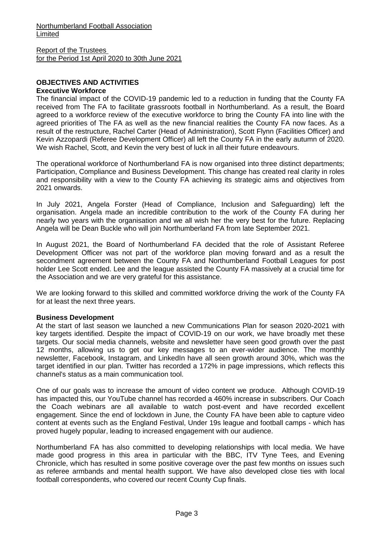#### **OBJECTIVES AND ACTIVITIES Executive Workforce**

The financial impact of the COVID-19 pandemic led to a reduction in funding that the County FA received from The FA to facilitate grassroots football in Northumberland. As a result, the Board agreed to a workforce review of the executive workforce to bring the County FA into line with the agreed priorities of The FA as well as the new financial realities the County FA now faces. As a result of the restructure, Rachel Carter (Head of Administration), Scott Flynn (Facilities Officer) and Kevin Azzopardi (Referee Development Officer) all left the County FA in the early autumn of 2020. We wish Rachel, Scott, and Kevin the very best of luck in all their future endeavours.

The operational workforce of Northumberland FA is now organised into three distinct departments; Participation, Compliance and Business Development. This change has created real clarity in roles and responsibility with a view to the County FA achieving its strategic aims and objectives from 2021 onwards.

In July 2021, Angela Forster (Head of Compliance, Inclusion and Safeguarding) left the organisation. Angela made an incredible contribution to the work of the County FA during her nearly two years with the organisation and we all wish her the very best for the future. Replacing Angela will be Dean Buckle who will join Northumberland FA from late September 2021.

In August 2021, the Board of Northumberland FA decided that the role of Assistant Referee Development Officer was not part of the workforce plan moving forward and as a result the secondment agreement between the County FA and Northumberland Football Leagues for post holder Lee Scott ended. Lee and the league assisted the County FA massively at a crucial time for the Association and we are very grateful for this assistance.

We are looking forward to this skilled and committed workforce driving the work of the County FA for at least the next three years.

## **Business Development**

At the start of last season we launched a new Communications Plan for season 2020-2021 with key targets identified. Despite the impact of COVID-19 on our work, we have broadly met these targets. Our social media channels, website and newsletter have seen good growth over the past 12 months, allowing us to get our key messages to an ever-wider audience. The monthly newsletter, Facebook, Instagram, and LinkedIn have all seen growth around 30%, which was the target identified in our plan. Twitter has recorded a 172% in page impressions, which reflects this channel's status as a main communication tool.

One of our goals was to increase the amount of video content we produce. Although COVID-19 has impacted this, our YouTube channel has recorded a 460% increase in subscribers. Our Coach the Coach webinars are all available to watch post-event and have recorded excellent engagement. Since the end of lockdown in June, the County FA have been able to capture video content at events such as the England Festival, Under 19s league and football camps - which has proved hugely popular, leading to increased engagement with our audience.

Northumberland FA has also committed to developing relationships with local media. We have made good progress in this area in particular with the BBC, ITV Tyne Tees, and Evening Chronicle, which has resulted in some positive coverage over the past few months on issues such as referee armbands and mental health support. We have also developed close ties with local football correspondents, who covered our recent County Cup finals.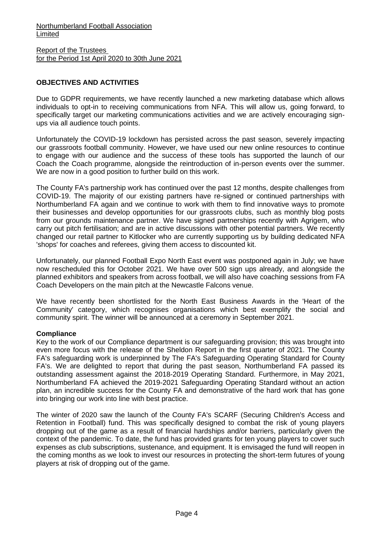## **OBJECTIVES AND ACTIVITIES**

Due to GDPR requirements, we have recently launched a new marketing database which allows individuals to opt-in to receiving communications from NFA. This will allow us, going forward, to specifically target our marketing communications activities and we are actively encouraging signups via all audience touch points.

Unfortunately the COVID-19 lockdown has persisted across the past season, severely impacting our grassroots football community. However, we have used our new online resources to continue to engage with our audience and the success of these tools has supported the launch of our Coach the Coach programme, alongside the reintroduction of in-person events over the summer. We are now in a good position to further build on this work.

The County FA's partnership work has continued over the past 12 months, despite challenges from COVID-19. The majority of our existing partners have re-signed or continued partnerships with Northumberland FA again and we continue to work with them to find innovative ways to promote their businesses and develop opportunities for our grassroots clubs, such as monthly blog posts from our grounds maintenance partner. We have signed partnerships recently with Agrigem, who carry out pitch fertilisation; and are in active discussions with other potential partners. We recently changed our retail partner to Kitlocker who are currently supporting us by building dedicated NFA 'shops' for coaches and referees, giving them access to discounted kit.

Unfortunately, our planned Football Expo North East event was postponed again in July; we have now rescheduled this for October 2021. We have over 500 sign ups already, and alongside the planned exhibitors and speakers from across football, we will also have coaching sessions from FA Coach Developers on the main pitch at the Newcastle Falcons venue.

We have recently been shortlisted for the North East Business Awards in the 'Heart of the Community' category, which recognises organisations which best exemplify the social and community spirit. The winner will be announced at a ceremony in September 2021.

## **Compliance**

Key to the work of our Compliance department is our safeguarding provision; this was brought into even more focus with the release of the Sheldon Report in the first quarter of 2021. The County FA's safeguarding work is underpinned by The FA's Safeguarding Operating Standard for County FA's. We are delighted to report that during the past season, Northumberland FA passed its outstanding assessment against the 2018-2019 Operating Standard. Furthermore, in May 2021, Northumberland FA achieved the 2019-2021 Safeguarding Operating Standard without an action plan, an incredible success for the County FA and demonstrative of the hard work that has gone into bringing our work into line with best practice.

The winter of 2020 saw the launch of the County FA's SCARF (Securing Children's Access and Retention in Football) fund. This was specifically designed to combat the risk of young players dropping out of the game as a result of financial hardships and/or barriers, particularly given the context of the pandemic. To date, the fund has provided grants for ten young players to cover such expenses as club subscriptions, sustenance, and equipment. It is envisaged the fund will reopen in the coming months as we look to invest our resources in protecting the short-term futures of young players at risk of dropping out of the game.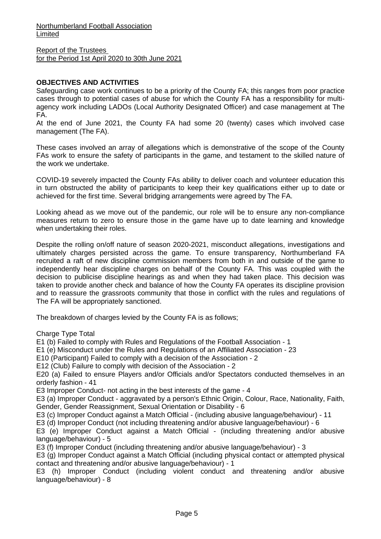Report of the Trustees for the Period 1st April 2020 to 30th June 2021

## **OBJECTIVES AND ACTIVITIES**

Safeguarding case work continues to be a priority of the County FA; this ranges from poor practice cases through to potential cases of abuse for which the County FA has a responsibility for multiagency work including LADOs (Local Authority Designated Officer) and case management at The FA.

At the end of June 2021, the County FA had some 20 (twenty) cases which involved case management (The FA).

These cases involved an array of allegations which is demonstrative of the scope of the County FAs work to ensure the safety of participants in the game, and testament to the skilled nature of the work we undertake.

COVID-19 severely impacted the County FAs ability to deliver coach and volunteer education this in turn obstructed the ability of participants to keep their key qualifications either up to date or achieved for the first time. Several bridging arrangements were agreed by The FA.

Looking ahead as we move out of the pandemic, our role will be to ensure any non-compliance measures return to zero to ensure those in the game have up to date learning and knowledge when undertaking their roles.

Despite the rolling on/off nature of season 2020-2021, misconduct allegations, investigations and ultimately charges persisted across the game. To ensure transparency, Northumberland FA recruited a raft of new discipline commission members from both in and outside of the game to independently hear discipline charges on behalf of the County FA. This was coupled with the decision to publicise discipline hearings as and when they had taken place. This decision was taken to provide another check and balance of how the County FA operates its discipline provision and to reassure the grassroots community that those in conflict with the rules and regulations of The FA will be appropriately sanctioned.

The breakdown of charges levied by the County FA is as follows;

Charge Type Total

E1 (b) Failed to comply with Rules and Regulations of the Football Association - 1

E1 (e) Misconduct under the Rules and Regulations of an Affiliated Association - 23

E10 (Participant) Failed to comply with a decision of the Association - 2

E12 (Club) Failure to comply with decision of the Association - 2

E20 (a) Failed to ensure Players and/or Officials and/or Spectators conducted themselves in an orderly fashion - 41

E3 Improper Conduct- not acting in the best interests of the game - 4

E3 (a) Improper Conduct - aggravated by a person's Ethnic Origin, Colour, Race, Nationality, Faith, Gender, Gender Reassignment, Sexual Orientation or Disability - 6

E3 (c) Improper Conduct against a Match Official - (including abusive language/behaviour) - 11

E3 (d) Improper Conduct (not including threatening and/or abusive language/behaviour) - 6

E3 (e) Improper Conduct against a Match Official - (including threatening and/or abusive language/behaviour) - 5

E3 (f) Improper Conduct (including threatening and/or abusive language/behaviour) - 3

E3 (g) Improper Conduct against a Match Official (including physical contact or attempted physical contact and threatening and/or abusive language/behaviour) - 1

E3 (h) Improper Conduct (including violent conduct and threatening and/or abusive language/behaviour) - 8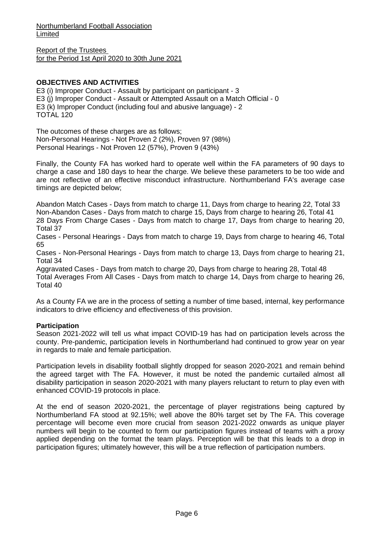Report of the Trustees for the Period 1st April 2020 to 30th June 2021

## **OBJECTIVES AND ACTIVITIES**

E3 (i) Improper Conduct - Assault by participant on participant - 3 E3 (j) Improper Conduct - Assault or Attempted Assault on a Match Official - 0 E3 (k) Improper Conduct (including foul and abusive language) - 2 TOTAL 120

The outcomes of these charges are as follows; Non-Personal Hearings - Not Proven 2 (2%), Proven 97 (98%) Personal Hearings - Not Proven 12 (57%), Proven 9 (43%)

Finally, the County FA has worked hard to operate well within the FA parameters of 90 days to charge a case and 180 days to hear the charge. We believe these parameters to be too wide and are not reflective of an effective misconduct infrastructure. Northumberland FA's average case timings are depicted below;

Abandon Match Cases - Days from match to charge 11, Days from charge to hearing 22, Total 33 Non-Abandon Cases - Days from match to charge 15, Days from charge to hearing 26, Total 41 28 Days From Charge Cases - Days from match to charge 17, Days from charge to hearing 20, Total 37

Cases - Personal Hearings - Days from match to charge 19, Days from charge to hearing 46, Total 65

Cases - Non-Personal Hearings - Days from match to charge 13, Days from charge to hearing 21, Total 34

Aggravated Cases - Days from match to charge 20, Days from charge to hearing 28, Total 48 Total Averages From All Cases - Days from match to charge 14, Days from charge to hearing 26, Total 40

As a County FA we are in the process of setting a number of time based, internal, key performance indicators to drive efficiency and effectiveness of this provision.

## **Participation**

Season 2021-2022 will tell us what impact COVID-19 has had on participation levels across the county. Pre-pandemic, participation levels in Northumberland had continued to grow year on year in regards to male and female participation.

Participation levels in disability football slightly dropped for season 2020-2021 and remain behind the agreed target with The FA. However, it must be noted the pandemic curtailed almost all disability participation in season 2020-2021 with many players reluctant to return to play even with enhanced COVID-19 protocols in place.

At the end of season 2020-2021, the percentage of player registrations being captured by Northumberland FA stood at 92.15%; well above the 80% target set by The FA. This coverage percentage will become even more crucial from season 2021-2022 onwards as unique player numbers will begin to be counted to form our participation figures instead of teams with a proxy applied depending on the format the team plays. Perception will be that this leads to a drop in participation figures; ultimately however, this will be a true reflection of participation numbers.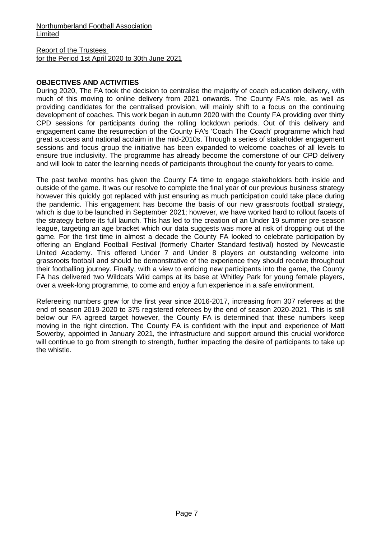## Report of the Trustees for the Period 1st April 2020 to 30th June 2021

## **OBJECTIVES AND ACTIVITIES**

During 2020, The FA took the decision to centralise the majority of coach education delivery, with much of this moving to online delivery from 2021 onwards. The County FA's role, as well as providing candidates for the centralised provision, will mainly shift to a focus on the continuing development of coaches. This work began in autumn 2020 with the County FA providing over thirty CPD sessions for participants during the rolling lockdown periods. Out of this delivery and engagement came the resurrection of the County FA's 'Coach The Coach' programme which had great success and national acclaim in the mid-2010s. Through a series of stakeholder engagement sessions and focus group the initiative has been expanded to welcome coaches of all levels to ensure true inclusivity. The programme has already become the cornerstone of our CPD delivery and will look to cater the learning needs of participants throughout the county for years to come.

The past twelve months has given the County FA time to engage stakeholders both inside and outside of the game. It was our resolve to complete the final year of our previous business strategy however this quickly got replaced with just ensuring as much participation could take place during the pandemic. This engagement has become the basis of our new grassroots football strategy, which is due to be launched in September 2021; however, we have worked hard to rollout facets of the strategy before its full launch. This has led to the creation of an Under 19 summer pre-season league, targeting an age bracket which our data suggests was more at risk of dropping out of the game. For the first time in almost a decade the County FA looked to celebrate participation by offering an England Football Festival (formerly Charter Standard festival) hosted by Newcastle United Academy. This offered Under 7 and Under 8 players an outstanding welcome into grassroots football and should be demonstrative of the experience they should receive throughout their footballing journey. Finally, with a view to enticing new participants into the game, the County FA has delivered two Wildcats Wild camps at its base at Whitley Park for young female players, over a week-long programme, to come and enjoy a fun experience in a safe environment.

Refereeing numbers grew for the first year since 2016-2017, increasing from 307 referees at the end of season 2019-2020 to 375 registered referees by the end of season 2020-2021. This is still below our FA agreed target however, the County FA is determined that these numbers keep moving in the right direction. The County FA is confident with the input and experience of Matt Sowerby, appointed in January 2021, the infrastructure and support around this crucial workforce will continue to go from strength to strength, further impacting the desire of participants to take up the whistle.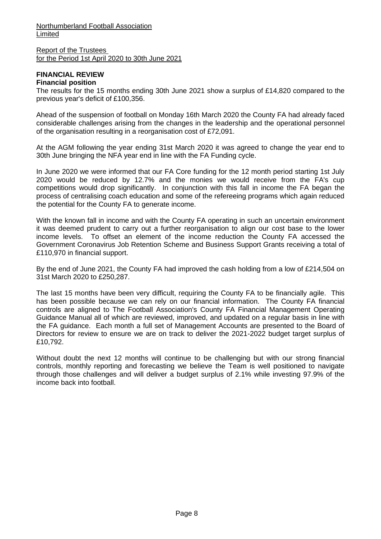Report of the Trustees for the Period 1st April 2020 to 30th June 2021

#### **FINANCIAL REVIEW Financial position**

The results for the 15 months ending 30th June 2021 show a surplus of £14,820 compared to the previous year's deficit of £100,356.

Ahead of the suspension of football on Monday 16th March 2020 the County FA had already faced considerable challenges arising from the changes in the leadership and the operational personnel of the organisation resulting in a reorganisation cost of £72,091.

At the AGM following the year ending 31st March 2020 it was agreed to change the year end to 30th June bringing the NFA year end in line with the FA Funding cycle.

In June 2020 we were informed that our FA Core funding for the 12 month period starting 1st July 2020 would be reduced by 12.7% and the monies we would receive from the FA's cup competitions would drop significantly. In conjunction with this fall in income the FA began the process of centralising coach education and some of the refereeing programs which again reduced the potential for the County FA to generate income.

With the known fall in income and with the County FA operating in such an uncertain environment it was deemed prudent to carry out a further reorganisation to align our cost base to the lower income levels. To offset an element of the income reduction the County FA accessed the Government Coronavirus Job Retention Scheme and Business Support Grants receiving a total of £110,970 in financial support.

By the end of June 2021, the County FA had improved the cash holding from a low of £214,504 on 31st March 2020 to £250,287.

The last 15 months have been very difficult, requiring the County FA to be financially agile. This has been possible because we can rely on our financial information. The County FA financial controls are aligned to The Football Association's County FA Financial Management Operating Guidance Manual all of which are reviewed, improved, and updated on a regular basis in line with the FA guidance. Each month a full set of Management Accounts are presented to the Board of Directors for review to ensure we are on track to deliver the 2021-2022 budget target surplus of £10,792.

Without doubt the next 12 months will continue to be challenging but with our strong financial controls, monthly reporting and forecasting we believe the Team is well positioned to navigate through those challenges and will deliver a budget surplus of 2.1% while investing 97.9% of the income back into football.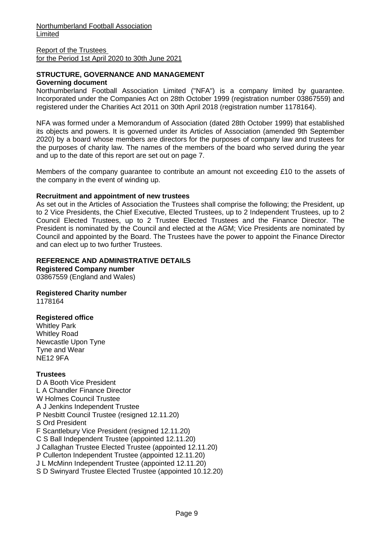### **STRUCTURE, GOVERNANCE AND MANAGEMENT Governing document**

Northumberland Football Association Limited ("NFA") is a company limited by guarantee. Incorporated under the Companies Act on 28th October 1999 (registration number 03867559) and registered under the Charities Act 2011 on 30th April 2018 (registration number 1178164).

NFA was formed under a Memorandum of Association (dated 28th October 1999) that established its objects and powers. It is governed under its Articles of Association (amended 9th September 2020) by a board whose members are directors for the purposes of company law and trustees for the purposes of charity law. The names of the members of the board who served during the year and up to the date of this report are set out on page 7.

Members of the company guarantee to contribute an amount not exceeding £10 to the assets of the company in the event of winding up.

### **Recruitment and appointment of new trustees**

As set out in the Articles of Association the Trustees shall comprise the following; the President, up to 2 Vice Presidents, the Chief Executive, Elected Trustees, up to 2 Independent Trustees, up to 2 Council Elected Trustees, up to 2 Trustee Elected Trustees and the Finance Director. The President is nominated by the Council and elected at the AGM; Vice Presidents are nominated by Council and appointed by the Board. The Trustees have the power to appoint the Finance Director and can elect up to two further Trustees.

### **REFERENCE AND ADMINISTRATIVE DETAILS**

**Registered Company number** 03867559 (England and Wales)

## **Registered Charity number**

1178164

#### **Registered office**

Whitley Park Whitley Road Newcastle Upon Tyne Tyne and Wear NE12 9FA

## **Trustees**

D A Booth Vice President L A Chandler Finance Director W Holmes Council Trustee A J Jenkins Independent Trustee P Nesbitt Council Trustee (resigned 12.11.20) S Ord President F Scantlebury Vice President (resigned 12.11.20) C S Ball Independent Trustee (appointed 12.11.20) J Callaghan Trustee Elected Trustee (appointed 12.11.20) P Cullerton Independent Trustee (appointed 12.11.20) J L McMinn Independent Trustee (appointed 12.11.20) S D Swinyard Trustee Elected Trustee (appointed 10.12.20)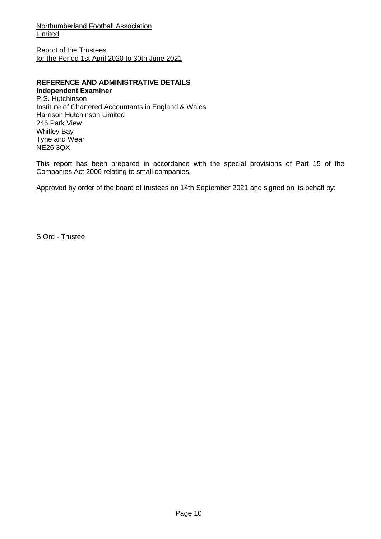Report of the Trustees for the Period 1st April 2020 to 30th June 2021

## **REFERENCE AND ADMINISTRATIVE DETAILS Independent Examiner**

P.S. Hutchinson Institute of Chartered Accountants in England & Wales Harrison Hutchinson Limited 246 Park View Whitley Bay Tyne and Wear NE26 3QX

This report has been prepared in accordance with the special provisions of Part 15 of the Companies Act 2006 relating to small companies.

Approved by order of the board of trustees on 14th September 2021 and signed on its behalf by:

S Ord - Trustee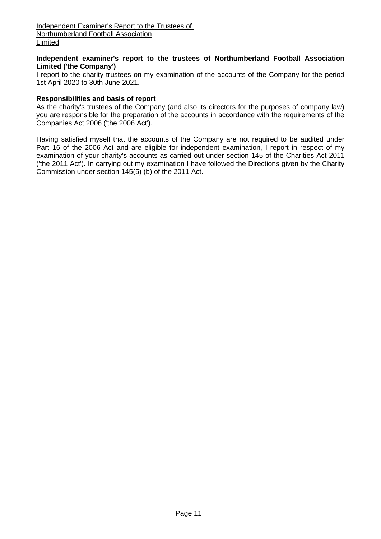## **Independent examiner's report to the trustees of Northumberland Football Association Limited ('the Company')**

I report to the charity trustees on my examination of the accounts of the Company for the period 1st April 2020 to 30th June 2021.

## **Responsibilities and basis of report**

As the charity's trustees of the Company (and also its directors for the purposes of company law) you are responsible for the preparation of the accounts in accordance with the requirements of the Companies Act 2006 ('the 2006 Act').

Having satisfied myself that the accounts of the Company are not required to be audited under Part 16 of the 2006 Act and are eligible for independent examination, I report in respect of my examination of your charity's accounts as carried out under section 145 of the Charities Act 2011 ('the 2011 Act'). In carrying out my examination I have followed the Directions given by the Charity Commission under section 145(5) (b) of the 2011 Act.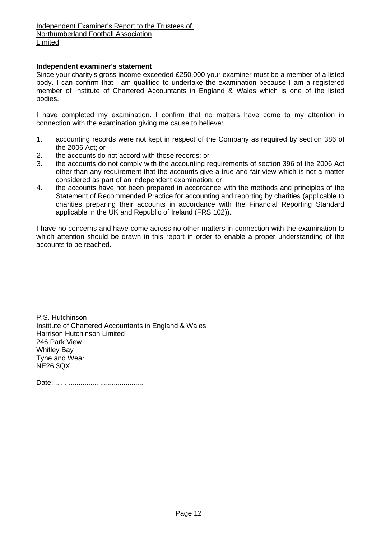### **Independent examiner's statement**

Since your charity's gross income exceeded £250,000 your examiner must be a member of a listed body. I can confirm that I am qualified to undertake the examination because I am a registered member of Institute of Chartered Accountants in England & Wales which is one of the listed bodies.

I have completed my examination. I confirm that no matters have come to my attention in connection with the examination giving me cause to believe:

- 1. accounting records were not kept in respect of the Company as required by section 386 of the 2006 Act; or
- 2. the accounts do not accord with those records; or
- 3. the accounts do not comply with the accounting requirements of section 396 of the 2006 Act other than any requirement that the accounts give a true and fair view which is not a matter considered as part of an independent examination; or
- 4. the accounts have not been prepared in accordance with the methods and principles of the Statement of Recommended Practice for accounting and reporting by charities (applicable to charities preparing their accounts in accordance with the Financial Reporting Standard applicable in the UK and Republic of Ireland (FRS 102)).

I have no concerns and have come across no other matters in connection with the examination to which attention should be drawn in this report in order to enable a proper understanding of the accounts to be reached.

P.S. Hutchinson Institute of Chartered Accountants in England & Wales Harrison Hutchinson Limited 246 Park View Whitley Bay Tyne and Wear NE26 3QX

Date: .............................................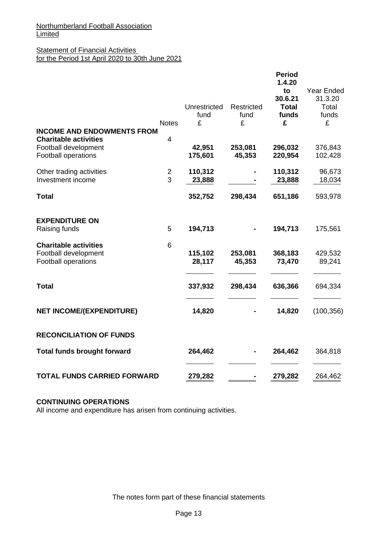## **Statement of Financial Activities** for the Period 1st April 2020 to 30th June 2021

|                                                    |                | Unrestricted      | <b>Restricted</b> | <b>Period</b><br>1.4.20<br>to<br>30.6.21<br><b>Total</b> | Year Ended<br>31.3.20<br>Total |
|----------------------------------------------------|----------------|-------------------|-------------------|----------------------------------------------------------|--------------------------------|
|                                                    |                | fund              | fund              | funds                                                    | funds                          |
| <b>INCOME AND ENDOWMENTS FROM</b>                  | <b>Notes</b>   | £                 | £                 | £                                                        | £                              |
| <b>Charitable activities</b>                       | $\overline{4}$ |                   |                   |                                                          |                                |
| Football development<br><b>Football operations</b> |                | 42,951<br>175,601 | 253,081<br>45,353 | 296,032<br>220,954                                       | 376,843<br>102,428             |
| Other trading activities                           | $\overline{c}$ | 110,312           |                   | 110,312                                                  | 96,673                         |
| Investment income                                  | 3              | 23,888            |                   | 23,888                                                   | 18,034                         |
| <b>Total</b>                                       |                | 352,752           | 298,434           | 651,186                                                  | 593,978                        |
| <b>EXPENDITURE ON</b>                              |                |                   |                   |                                                          |                                |
| Raising funds                                      | 5              | 194,713           |                   | 194,713                                                  | 175,561                        |
| <b>Charitable activities</b>                       | 6              |                   |                   |                                                          |                                |
| Football development                               |                | 115,102           | 253,081           | 368,183                                                  | 429,532                        |
| Football operations                                |                | 28,117            | 45,353            | 73,470                                                   | 89,241                         |
| <b>Total</b>                                       |                | 337,932           | 298,434           | 636,366                                                  | 694,334                        |
| <b>NET INCOME/(EXPENDITURE)</b>                    |                | 14,820            |                   | 14,820                                                   | (100, 356)                     |
| <b>RECONCILIATION OF FUNDS</b>                     |                |                   |                   |                                                          |                                |
| <b>Total funds brought forward</b>                 |                | 264,462           |                   | 264,462                                                  | 364,818                        |
| <b>TOTAL FUNDS CARRIED FORWARD</b>                 |                | 279,282           |                   | 279,282                                                  | 264,462                        |

## **CONTINUING OPERATIONS**

All income and expenditure has arisen from continuing activities.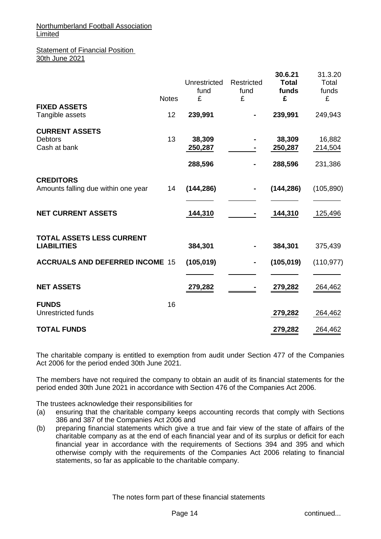#### **Statement of Financial Position** 30th June 2021

|                                                         | <b>Notes</b> | Unrestricted<br>fund<br>£    | Restricted<br>fund<br>£ | 30.6.21<br><b>Total</b><br>funds<br>£ | 31.3.20<br>Total<br>funds<br>£ |
|---------------------------------------------------------|--------------|------------------------------|-------------------------|---------------------------------------|--------------------------------|
| <b>FIXED ASSETS</b><br>Tangible assets                  | 12           | 239,991                      |                         | 239,991                               | 249,943                        |
| <b>CURRENT ASSETS</b><br><b>Debtors</b><br>Cash at bank | 13           | 38,309<br>250,287<br>288,596 |                         | 38,309<br>250,287<br>288,596          | 16,882<br>214,504<br>231,386   |
| <b>CREDITORS</b><br>Amounts falling due within one year | 14           | (144, 286)                   |                         | (144, 286)                            | (105, 890)                     |
| <b>NET CURRENT ASSETS</b>                               |              | 144,310                      |                         | 144,310                               | 125,496                        |
| <b>TOTAL ASSETS LESS CURRENT</b><br><b>LIABILITIES</b>  |              | 384,301                      |                         | 384,301                               | 375,439                        |
| <b>ACCRUALS AND DEFERRED INCOME 15</b>                  |              | (105, 019)                   |                         | (105, 019)                            | (110, 977)                     |
| <b>NET ASSETS</b>                                       |              | 279,282                      |                         | 279,282                               | 264,462                        |
| <b>FUNDS</b><br>Unrestricted funds                      | 16           |                              |                         | 279,282                               | 264,462                        |
| <b>TOTAL FUNDS</b>                                      |              |                              |                         | 279,282                               | 264,462                        |

The charitable company is entitled to exemption from audit under Section 477 of the Companies Act 2006 for the period ended 30th June 2021.

The members have not required the company to obtain an audit of its financial statements for the period ended 30th June 2021 in accordance with Section 476 of the Companies Act 2006.

The trustees acknowledge their responsibilities for

- (a) ensuring that the charitable company keeps accounting records that comply with Sections 386 and 387 of the Companies Act 2006 and
- (b) preparing financial statements which give a true and fair view of the state of affairs of the charitable company as at the end of each financial year and of its surplus or deficit for each financial year in accordance with the requirements of Sections 394 and 395 and which otherwise comply with the requirements of the Companies Act 2006 relating to financial statements, so far as applicable to the charitable company.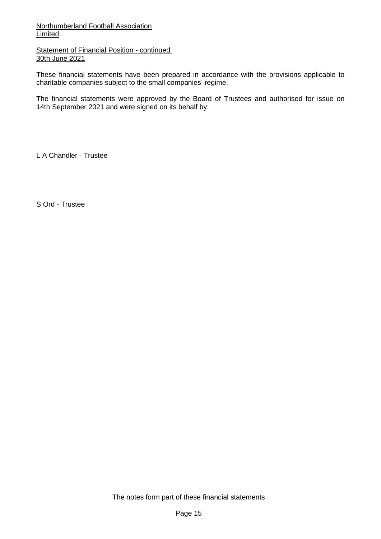**Statement of Financial Position - continued** 30th June 2021

These financial statements have been prepared in accordance with the provisions applicable to charitable companies subject to the small companies' regime.

The financial statements were approved by the Board of Trustees and authorised for issue on 14th September 2021 and were signed on its behalf by:

L A Chandler - Trustee

S Ord - Trustee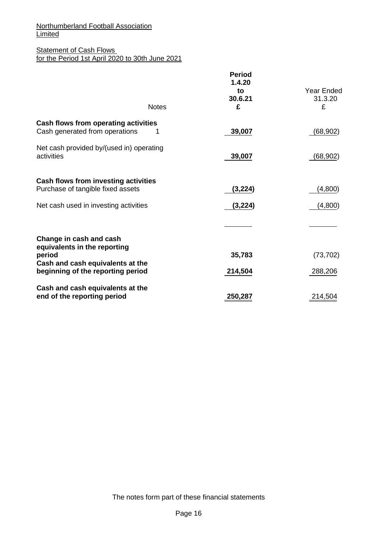## **Statement of Cash Flows** for the Period 1st April 2020 to 30th June 2021

| <b>Notes</b>                                                                | <b>Period</b><br>1.4.20<br>to<br>30.6.21<br>£ | <b>Year Ended</b><br>31.3.20<br>£ |
|-----------------------------------------------------------------------------|-----------------------------------------------|-----------------------------------|
| Cash flows from operating activities<br>Cash generated from operations<br>1 | 39,007                                        | (68, 902)                         |
| Net cash provided by/(used in) operating<br>activities                      | 39,007                                        | (68, 902)                         |
| Cash flows from investing activities<br>Purchase of tangible fixed assets   | (3, 224)                                      | (4,800)                           |
| Net cash used in investing activities                                       | (3, 224)                                      | (4,800)                           |
|                                                                             |                                               |                                   |
| Change in cash and cash<br>equivalents in the reporting<br>period           | 35,783                                        | (73, 702)                         |
| Cash and cash equivalents at the<br>beginning of the reporting period       | 214,504                                       | 288,206                           |
| Cash and cash equivalents at the<br>end of the reporting period             | 250,287                                       | 214,504                           |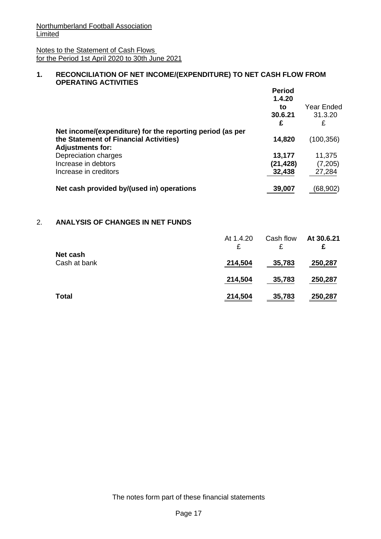Notes to the Statement of Cash Flows for the Period 1st April 2020 to 30th June 2021

## **1. RECONCILIATION OF NET INCOME/(EXPENDITURE) TO NET CASH FLOW FROM OPERATING ACTIVITIES**

|                                                                                                                                | <b>Period</b><br>1.4.20<br>to<br>30.6.21<br>£ | Year Ended<br>31.3.20<br>£   |
|--------------------------------------------------------------------------------------------------------------------------------|-----------------------------------------------|------------------------------|
| Net income/(expenditure) for the reporting period (as per<br>the Statement of Financial Activities)<br><b>Adjustments for:</b> | 14,820                                        | (100, 356)                   |
| Depreciation charges<br>Increase in debtors<br>Increase in creditors                                                           | 13,177<br>(21, 428)<br>32,438                 | 11,375<br>(7, 205)<br>27,284 |
| Net cash provided by/(used in) operations                                                                                      | 39,007                                        | (68,902)                     |

## 2. **ANALYSIS OF CHANGES IN NET FUNDS**

|                          | At 1.4.20<br>£ | Cash flow<br>£ | At 30.6.21<br>£ |
|--------------------------|----------------|----------------|-----------------|
| Net cash<br>Cash at bank | 214,504        | 35,783         | 250,287         |
|                          | 214,504        | 35,783         | 250,287         |
| <b>Total</b>             | 214,504        | 35,783         | 250,287         |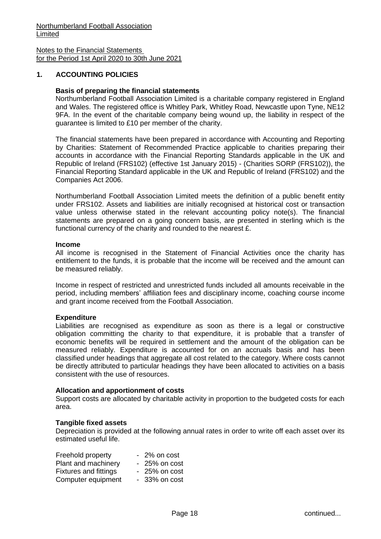Notes to the Financial Statements for the Period 1st April 2020 to 30th June 2021

## **1. ACCOUNTING POLICIES**

### **Basis of preparing the financial statements**

Northumberland Football Association Limited is a charitable company registered in England and Wales. The registered office is Whitley Park, Whitley Road, Newcastle upon Tyne, NE12 9FA. In the event of the charitable company being wound up, the liability in respect of the guarantee is limited to £10 per member of the charity.

The financial statements have been prepared in accordance with Accounting and Reporting by Charities: Statement of Recommended Practice applicable to charities preparing their accounts in accordance with the Financial Reporting Standards applicable in the UK and Republic of Ireland (FRS102) (effective 1st January 2015) - (Charities SORP (FRS102)), the Financial Reporting Standard applicable in the UK and Republic of Ireland (FRS102) and the Companies Act 2006.

Northumberland Football Association Limited meets the definition of a public benefit entity under FRS102. Assets and liabilities are initially recognised at historical cost or transaction value unless otherwise stated in the relevant accounting policy note(s). The financial statements are prepared on a going concern basis, are presented in sterling which is the functional currency of the charity and rounded to the nearest £.

#### **Income**

All income is recognised in the Statement of Financial Activities once the charity has entitlement to the funds, it is probable that the income will be received and the amount can be measured reliably.

Income in respect of restricted and unrestricted funds included all amounts receivable in the period, including members' affiliation fees and disciplinary income, coaching course income and grant income received from the Football Association.

#### **Expenditure**

Liabilities are recognised as expenditure as soon as there is a legal or constructive obligation committing the charity to that expenditure, it is probable that a transfer of economic benefits will be required in settlement and the amount of the obligation can be measured reliably. Expenditure is accounted for on an accruals basis and has been classified under headings that aggregate all cost related to the category. Where costs cannot be directly attributed to particular headings they have been allocated to activities on a basis consistent with the use of resources.

#### **Allocation and apportionment of costs**

Support costs are allocated by charitable activity in proportion to the budgeted costs for each area.

#### **Tangible fixed assets**

Depreciation is provided at the following annual rates in order to write off each asset over its estimated useful life.

| Freehold property            | - 2% on cost   |
|------------------------------|----------------|
| Plant and machinery          | $-25%$ on cost |
| <b>Fixtures and fittings</b> | - 25% on cost  |
| Computer equipment           | - 33% on cost  |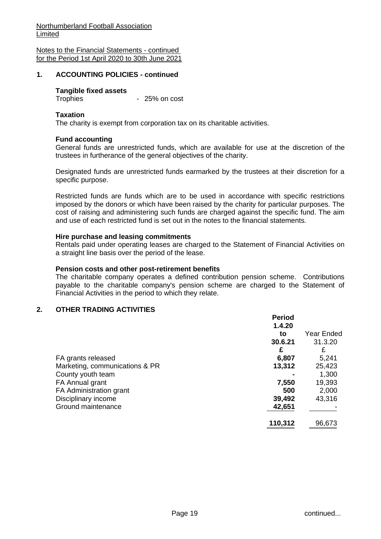Notes to the Financial Statements - continued for the Period 1st April 2020 to 30th June 2021

## **1. ACCOUNTING POLICIES - continued**

### **Tangible fixed assets**

Trophies - 25% on cost

#### **Taxation**

The charity is exempt from corporation tax on its charitable activities.

#### **Fund accounting**

General funds are unrestricted funds, which are available for use at the discretion of the trustees in furtherance of the general objectives of the charity.

Designated funds are unrestricted funds earmarked by the trustees at their discretion for a specific purpose.

Restricted funds are funds which are to be used in accordance with specific restrictions imposed by the donors or which have been raised by the charity for particular purposes. The cost of raising and administering such funds are charged against the specific fund. The aim and use of each restricted fund is set out in the notes to the financial statements.

#### **Hire purchase and leasing commitments**

Rentals paid under operating leases are charged to the Statement of Financial Activities on a straight line basis over the period of the lease.

#### **Pension costs and other post-retirement benefits**

The charitable company operates a defined contribution pension scheme. Contributions payable to the charitable company's pension scheme are charged to the Statement of Financial Activities in the period to which they relate.

#### **2. OTHER TRADING ACTIVITIES**

|                                | <b>Period</b> |            |
|--------------------------------|---------------|------------|
|                                | 1.4.20        |            |
|                                | to            | Year Ended |
|                                | 30.6.21       | 31.3.20    |
|                                | £             | £          |
| FA grants released             | 6,807         | 5,241      |
| Marketing, communications & PR | 13,312        | 25,423     |
| County youth team              |               | 1,300      |
| FA Annual grant                | 7,550         | 19,393     |
| FA Administration grant        | 500           | 2,000      |
| Disciplinary income            | 39,492        | 43,316     |
| Ground maintenance             | 42,651        |            |
|                                | 110,312       | 96,673     |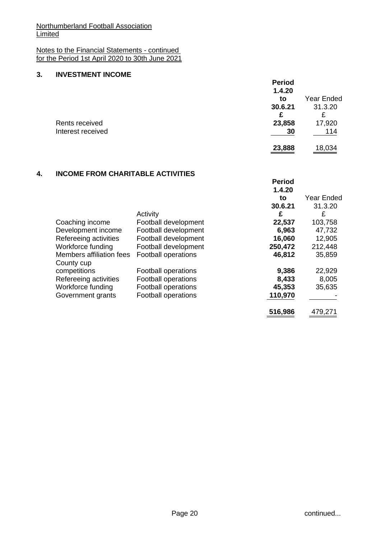## Notes to the Financial Statements - continued for the Period 1st April 2020 to 30th June 2021

## **3. INVESTMENT INCOME**

|                   | <b>Period</b><br>1.4.20 |                   |
|-------------------|-------------------------|-------------------|
|                   | to                      | <b>Year Ended</b> |
|                   | 30.6.21                 | 31.3.20           |
|                   | £                       | £                 |
| Rents received    | 23,858                  | 17,920            |
| Interest received | 30                      | 114               |
|                   | 23,888                  | 18,034            |

## **4. INCOME FROM CHARITABLE ACTIVITIES**

|                          |                                                            | <b>Period</b><br>1.4.20                                           |                                     |
|--------------------------|------------------------------------------------------------|-------------------------------------------------------------------|-------------------------------------|
|                          |                                                            | to                                                                | <b>Year Ended</b>                   |
|                          |                                                            | 30.6.21                                                           | 31.3.20                             |
|                          | Activity                                                   | £                                                                 | £                                   |
| Coaching income          | Football development                                       | 22,537                                                            | 103,758                             |
| Development income       | Football development                                       | 6,963                                                             | 47,732                              |
| Refereeing activities    | Football development                                       | 16,060                                                            | 12,905                              |
| Workforce funding        | Football development                                       | 250,472                                                           | 212,448                             |
| Members affiliation fees | <b>Football operations</b>                                 | 46,812                                                            | 35,859                              |
| County cup               |                                                            |                                                                   |                                     |
|                          |                                                            |                                                                   | 22,929                              |
|                          |                                                            |                                                                   | 8,005                               |
|                          |                                                            |                                                                   | 35,635                              |
| Government grants        | Football operations                                        | 110,970                                                           |                                     |
|                          |                                                            |                                                                   | 479,271                             |
|                          | competitions<br>Refereeing activities<br>Workforce funding | Football operations<br>Football operations<br>Football operations | 9,386<br>8,433<br>45,353<br>516,986 |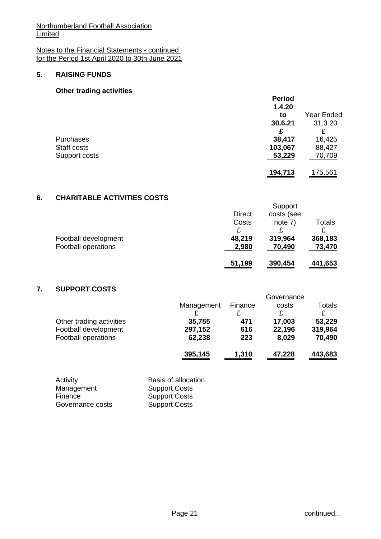Notes to the Financial Statements - continued for the Period 1st April 2020 to 30th June 2021

## **5. RAISING FUNDS**

## **Other trading activities**

|                  | <b>Period</b> |                   |
|------------------|---------------|-------------------|
|                  | 1.4.20        |                   |
|                  | to            | <b>Year Ended</b> |
|                  | 30.6.21       | 31.3.20           |
|                  | £             | £                 |
| <b>Purchases</b> | 38,417        | 16,425            |
| Staff costs      | 103,067       | 88,427            |
| Support costs    | 53,229        | 70,709            |
|                  | 194,713       | 175,561           |

## **6. CHARITABLE ACTIVITIES COSTS**

|                      |               | Support    |               |
|----------------------|---------------|------------|---------------|
|                      | <b>Direct</b> | costs (see |               |
|                      | Costs         | note $7)$  | <b>Totals</b> |
|                      |               |            |               |
| Football development | 48,219        | 319,964    | 368,183       |
| Football operations  | 2,980         | 70,490     | 73,470        |
|                      | 51,199        | 390,454    | 441,653       |

## **7. SUPPORT COSTS**

|                          |            |         | Governance |         |
|--------------------------|------------|---------|------------|---------|
|                          | Management | Finance | costs      | Totals  |
|                          |            |         | £          | £       |
| Other trading activities | 35,755     | 471     | 17,003     | 53,229  |
| Football development     | 297,152    | 616     | 22,196     | 319,964 |
| Football operations      | 62,238     | 223     | 8,029      | 70,490  |
|                          | 395,145    | 1,310   | 47,228     | 443,683 |

| Activity         | <b>Basis of allocation</b> |
|------------------|----------------------------|
| Management       | <b>Support Costs</b>       |
| Finance          | <b>Support Costs</b>       |
| Governance costs | <b>Support Costs</b>       |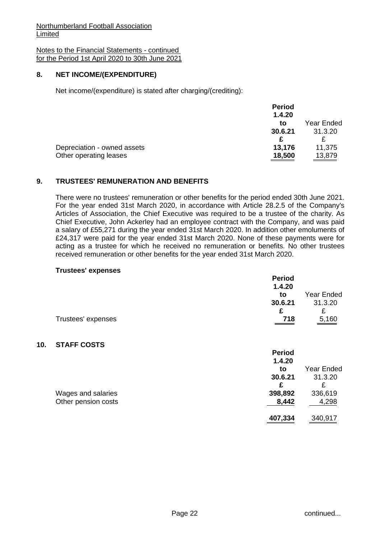Notes to the Financial Statements - continued for the Period 1st April 2020 to 30th June 2021

## **8. NET INCOME/(EXPENDITURE)**

Net income/(expenditure) is stated after charging/(crediting):

|                             | <b>Period</b> |            |
|-----------------------------|---------------|------------|
|                             | 1.4.20        |            |
|                             | to            | Year Ended |
|                             | 30.6.21       | 31.3.20    |
|                             |               |            |
| Depreciation - owned assets | 13,176        | 11,375     |
| Other operating leases      | 18,500        | 13,879     |

## **9. TRUSTEES' REMUNERATION AND BENEFITS**

There were no trustees' remuneration or other benefits for the period ended 30th June 2021. For the year ended 31st March 2020, in accordance with Article 28.2.5 of the Company's Articles of Association, the Chief Executive was required to be a trustee of the charity. As Chief Executive, John Ackerley had an employee contract with the Company, and was paid a salary of £55,271 during the year ended 31st March 2020. In addition other emoluments of £24,317 were paid for the year ended 31st March 2020. None of these payments were for acting as a trustee for which he received no remuneration or benefits. No other trustees received remuneration or other benefits for the year ended 31st March 2020.

#### **Trustees' expenses**

**10.** 

| wastood oxponede    | <b>Period</b><br>1.4.20<br>to<br>30.6.21<br>£ | Year Ended<br>31.3.20<br>£ |
|---------------------|-----------------------------------------------|----------------------------|
| Trustees' expenses  | 718                                           | 5,160                      |
| <b>STAFF COSTS</b>  | <b>Period</b><br>1.4.20                       |                            |
|                     | to                                            | <b>Year Ended</b>          |
|                     | 30.6.21<br>£                                  | 31.3.20<br>£               |
| Wages and salaries  | 398,892                                       | 336,619                    |
| Other pension costs | 8,442                                         | 4,298                      |
|                     | 407,334                                       | 340,917                    |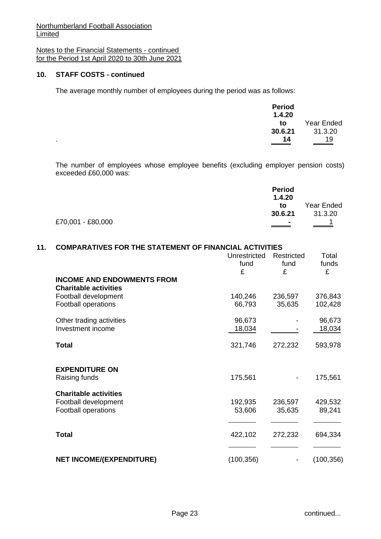Notes to the Financial Statements - continued for the Period 1st April 2020 to 30th June 2021

## **10. STAFF COSTS - continued**

The average monthly number of employees during the period was as follows:

| <b>Period</b> |            |
|---------------|------------|
| 1.4.20        |            |
| to            | Year Ended |
| 30.6.21       | 31.3.20    |
| 14            | 19         |

The number of employees whose employee benefits (excluding employer pension costs) exceeded £60,000 was:

|                   | <b>Period</b>            |            |
|-------------------|--------------------------|------------|
|                   | 1.4.20                   |            |
|                   | to                       | Year Ended |
|                   | 30.6.21                  | 31.3.20    |
| £70,001 - £80,000 | $\overline{\phantom{a}}$ |            |
|                   |                          |            |

## **11. COMPARATIVES FOR THE STATEMENT OF FINANCIAL ACTIVITIES**

|                                                                                    | Unrestricted<br>fund<br>£ | Restricted<br>fund<br>£ | Total<br>funds<br>£ |
|------------------------------------------------------------------------------------|---------------------------|-------------------------|---------------------|
| <b>INCOME AND ENDOWMENTS FROM</b><br><b>Charitable activities</b>                  |                           |                         |                     |
| Football development<br><b>Football operations</b>                                 | 140,246<br>66,793         | 236,597<br>35,635       | 376,843<br>102,428  |
| Other trading activities<br>Investment income                                      | 96,673<br>18,034          |                         | 96,673<br>18,034    |
| <b>Total</b>                                                                       | 321,746                   | 272,232                 | 593,978             |
| <b>EXPENDITURE ON</b><br>Raising funds                                             | 175,561                   |                         | 175,561             |
| <b>Charitable activities</b><br>Football development<br><b>Football operations</b> | 192,935<br>53,606         | 236,597<br>35,635       | 429,532<br>89,241   |
| <b>Total</b>                                                                       | 422,102                   | 272,232                 | 694,334             |
| <b>NET INCOME/(EXPENDITURE)</b>                                                    | (100, 356)                |                         | (100, 356)          |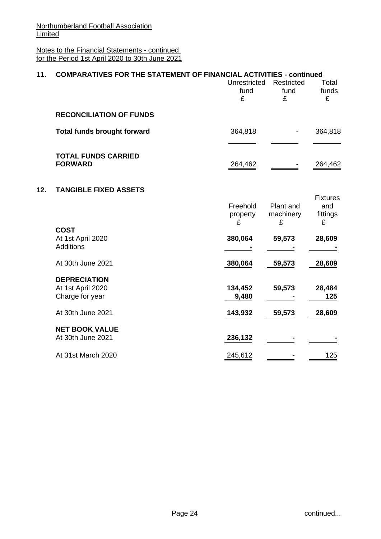Notes to the Financial Statements - continued for the Period 1st April 2020 to 30th June 2021

| 11. | <b>COMPARATIVES FOR THE STATEMENT OF FINANCIAL ACTIVITIES - continued</b> |                           |                                |                      |
|-----|---------------------------------------------------------------------------|---------------------------|--------------------------------|----------------------|
|     |                                                                           | Unrestricted<br>fund<br>£ | <b>Restricted</b><br>fund<br>£ | Total<br>funds<br>£  |
|     | <b>RECONCILIATION OF FUNDS</b>                                            |                           |                                |                      |
|     | <b>Total funds brought forward</b>                                        | 364,818                   |                                | 364,818              |
|     | <b>TOTAL FUNDS CARRIED</b><br><b>FORWARD</b>                              | 264,462                   |                                | 264,462              |
| 12. | <b>TANGIBLE FIXED ASSETS</b>                                              |                           |                                | <b>Fixtures</b>      |
|     |                                                                           | Freehold<br>property<br>£ | Plant and<br>machinery<br>£    | and<br>fittings<br>£ |
|     | <b>COST</b><br>At 1st April 2020<br><b>Additions</b>                      | 380,064                   | 59,573                         | 28,609               |
|     | At 30th June 2021                                                         | 380,064                   | 59,573                         | 28,609               |
|     | <b>DEPRECIATION</b><br>At 1st April 2020<br>Charge for year               | 134,452<br>9,480          | 59,573                         | 28,484<br>125        |
|     | At 30th June 2021                                                         | 143,932                   | 59,573                         | 28,609               |
|     | <b>NET BOOK VALUE</b><br>At 30th June 2021                                | 236,132                   |                                |                      |
|     | At 31st March 2020                                                        | 245,612                   |                                | 125                  |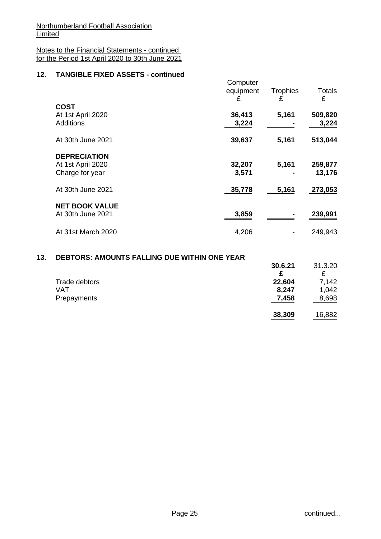Notes to the Financial Statements - continued for the Period 1st April 2020 to 30th June 2021

## **12. TANGIBLE FIXED ASSETS - continued**

|                                                             | Computer<br>equipment<br>£ | <b>Trophies</b><br>£ | <b>Totals</b><br>£ |
|-------------------------------------------------------------|----------------------------|----------------------|--------------------|
| <b>COST</b><br>At 1st April 2020<br><b>Additions</b>        | 36,413<br>3,224            | 5,161                | 509,820<br>3,224   |
| At 30th June 2021                                           | 39,637                     | 5,161                | 513,044            |
| <b>DEPRECIATION</b><br>At 1st April 2020<br>Charge for year | 32,207<br>3,571            | 5,161                | 259,877<br>13,176  |
| At 30th June 2021                                           | 35,778                     | 5,161                | 273,053            |
| <b>NET BOOK VALUE</b><br>At 30th June 2021                  | 3,859                      |                      | 239,991            |
| At 31st March 2020                                          | 4,206                      |                      | 249,943            |
|                                                             |                            |                      |                    |

#### **13. DEBTORS: AMOUNTS FALLING DUE WITHIN ONE YEAR**

|               | 30.6.21<br>£ | 31.3.20 |
|---------------|--------------|---------|
| Trade debtors | 22,604       | 7,142   |
| VAT           | 8,247        | 1,042   |
| Prepayments   | 7,458        | 8,698   |
|               | 38,309       | 16,882  |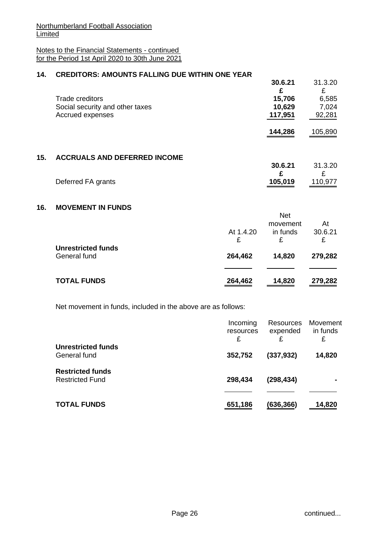Notes to the Financial Statements - continued for the Period 1st April 2020 to 30th June 2021

## **14. CREDITORS: AMOUNTS FALLING DUE WITHIN ONE YEAR**

| ONLDITONO. AMOUNTO I ALLINO DUL IVITIMI ONL TLAN |         |         |
|--------------------------------------------------|---------|---------|
|                                                  | 30.6.21 | 31.3.20 |
|                                                  |         |         |
| Trade creditors                                  | 15,706  | 6,585   |
| Social security and other taxes                  | 10,629  | 7.024   |
| Accrued expenses                                 | 117,951 | 92,281  |
|                                                  |         |         |
|                                                  | 144,286 | 105,890 |
|                                                  |         |         |

### **15. ACCRUALS AND DEFERRED INCOME**

|                    | 30.6.21 | 31.3.20 |
|--------------------|---------|---------|
|                    |         |         |
| Deferred FA grants | 105,019 | 110,977 |

### **16. MOVEMENT IN FUNDS**

|                                           | At 1.4.20<br>£ | <b>Net</b><br>movement<br>in funds<br>£ | At<br>30.6.21<br>£ |
|-------------------------------------------|----------------|-----------------------------------------|--------------------|
| <b>Unrestricted funds</b><br>General fund | 264,462        | 14,820                                  | 279,282            |
| <b>TOTAL FUNDS</b>                        | 264,462        | 14,820                                  | 279,282            |

Net movement in funds, included in the above are as follows:

|                                                   | Incoming<br>resources<br>£ | Resources<br>expended | Movement<br>in funds<br>£ |
|---------------------------------------------------|----------------------------|-----------------------|---------------------------|
| Unrestricted funds<br>General fund                | 352,752                    | (337, 932)            | 14,820                    |
| <b>Restricted funds</b><br><b>Restricted Fund</b> | 298,434                    | (298, 434)            |                           |
| <b>TOTAL FUNDS</b>                                | 651,186                    | (636,366)             | 14,820                    |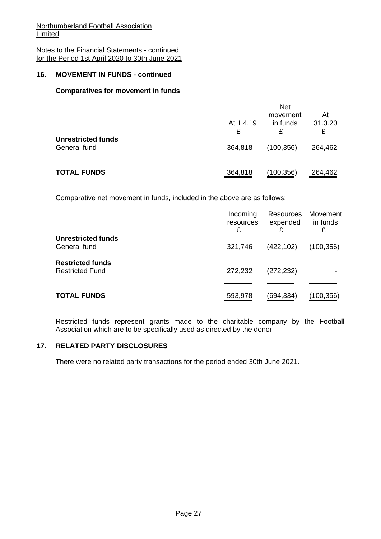Notes to the Financial Statements - continued for the Period 1st April 2020 to 30th June 2021

## **16. MOVEMENT IN FUNDS - continued**

### **Comparatives for movement in funds**

|                                           | At 1.4.19 | <b>Net</b><br>movement<br>in funds | At<br>31.3.20 |
|-------------------------------------------|-----------|------------------------------------|---------------|
|                                           | £         | £                                  | £             |
| <b>Unrestricted funds</b><br>General fund | 364,818   | (100, 356)                         | 264,462       |
|                                           |           |                                    |               |
| <b>TOTAL FUNDS</b>                        | 364,818   | (100,356)                          | 264,462       |

Comparative net movement in funds, included in the above are as follows:

|                         | Incoming<br>resources<br>£ | Resources<br>expended<br>£ | Movement<br>in funds<br>£ |
|-------------------------|----------------------------|----------------------------|---------------------------|
| Unrestricted funds      |                            |                            |                           |
| General fund            | 321,746                    | (422, 102)                 | (100, 356)                |
| <b>Restricted funds</b> |                            |                            |                           |
| <b>Restricted Fund</b>  | 272,232                    | (272, 232)                 |                           |
|                         |                            |                            |                           |
| <b>TOTAL FUNDS</b>      | 593,978                    | (694,334)                  | (100, 356)                |

Restricted funds represent grants made to the charitable company by the Football Association which are to be specifically used as directed by the donor.

## **17. RELATED PARTY DISCLOSURES**

There were no related party transactions for the period ended 30th June 2021.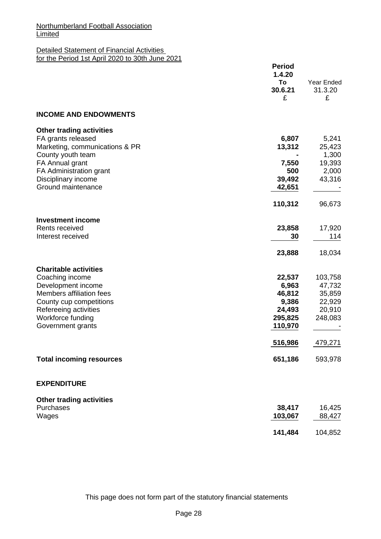#### Detailed Statement of Financial Activities for the Period 1st April 2020 to 30th June 2021

|                                                                                                              | <b>Period</b><br>1.4.20<br>To<br>30.6.21<br>£ | Year Ended<br>31.3.20<br>£            |
|--------------------------------------------------------------------------------------------------------------|-----------------------------------------------|---------------------------------------|
| <b>INCOME AND ENDOWMENTS</b>                                                                                 |                                               |                                       |
| <b>Other trading activities</b><br>FA grants released<br>Marketing, communications & PR<br>County youth team | 6,807<br>13,312                               | 5,241<br>25,423<br>1,300              |
| FA Annual grant<br>FA Administration grant<br>Disciplinary income<br>Ground maintenance                      | 7,550<br>500<br>39,492<br>42,651              | 19,393<br>2,000<br>43,316             |
|                                                                                                              | 110,312                                       | 96,673                                |
| <b>Investment income</b><br>Rents received<br>Interest received                                              | 23,858<br>30                                  | 17,920<br>114                         |
|                                                                                                              | 23,888                                        | 18,034                                |
| <b>Charitable activities</b>                                                                                 |                                               |                                       |
| Coaching income<br>Development income<br>Members affiliation fees<br>County cup competitions                 | 22,537<br>6,963<br>46,812<br>9,386            | 103,758<br>47,732<br>35,859<br>22,929 |
| Refereeing activities<br>Workforce funding<br>Government grants                                              | 24,493<br>295,825<br>110,970                  | 20,910<br>248,083                     |
|                                                                                                              | 516,986                                       | 479,271                               |
| <b>Total incoming resources</b>                                                                              | 651,186                                       | 593,978                               |
| <b>EXPENDITURE</b>                                                                                           |                                               |                                       |
| <b>Other trading activities</b><br>Purchases<br>Wages                                                        | 38,417<br>103,067                             | 16,425<br>88,427                      |
|                                                                                                              | 141,484                                       | 104,852                               |

This page does not form part of the statutory financial statements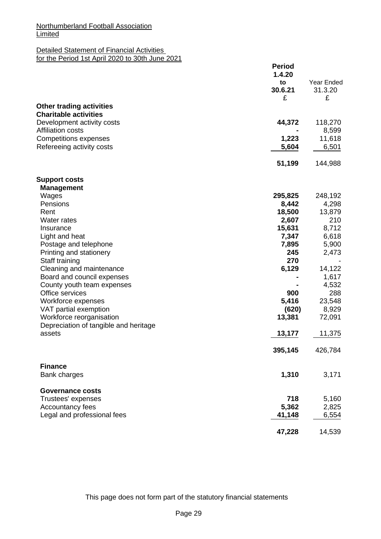# Detailed Statement of Financial Activities

for the Period 1st April 2020 to 30th June 2021

|                                                        | <b>Period</b><br>1.4.20<br>to<br>30.6.21<br>£ | Year Ended<br>31.3.20<br>£ |
|--------------------------------------------------------|-----------------------------------------------|----------------------------|
| <b>Other trading activities</b>                        |                                               |                            |
| <b>Charitable activities</b>                           |                                               |                            |
| Development activity costs<br><b>Affiliation costs</b> | 44,372                                        | 118,270<br>8,599           |
| <b>Competitions expenses</b>                           | 1,223                                         | 11,618                     |
| Refereeing activity costs                              | 5,604                                         | 6,501                      |
|                                                        | 51,199                                        | 144,988                    |
| <b>Support costs</b>                                   |                                               |                            |
| <b>Management</b>                                      |                                               |                            |
| Wages                                                  | 295,825                                       | 248,192                    |
| Pensions<br>Rent                                       | 8,442<br>18,500                               | 4,298<br>13,879            |
| Water rates                                            | 2,607                                         | 210                        |
| Insurance                                              | 15,631                                        | 8,712                      |
| Light and heat                                         | 7,347                                         | 6,618                      |
| Postage and telephone                                  | 7,895                                         | 5,900                      |
| Printing and stationery                                | 245                                           | 2,473                      |
| Staff training                                         | 270                                           |                            |
| Cleaning and maintenance                               | 6,129                                         | 14,122                     |
| Board and council expenses                             |                                               | 1,617                      |
| County youth team expenses                             |                                               | 4,532                      |
| Office services<br>Workforce expenses                  | 900<br>5,416                                  | 288<br>23,548              |
| VAT partial exemption                                  | (620)                                         | 8,929                      |
| Workforce reorganisation                               | 13,381                                        | 72,091                     |
| Depreciation of tangible and heritage                  |                                               |                            |
| assets                                                 | 13,177                                        | 11,375                     |
|                                                        | 395,145                                       | 426,784                    |
| <b>Finance</b>                                         |                                               |                            |
| Bank charges                                           | 1,310                                         | 3,171                      |
| <b>Governance costs</b>                                |                                               |                            |
| Trustees' expenses                                     | 718                                           | 5,160                      |
| Accountancy fees<br>Legal and professional fees        | 5,362<br>41,148                               | 2,825<br>6,554             |
|                                                        | 47,228                                        | 14,539                     |

This page does not form part of the statutory financial statements